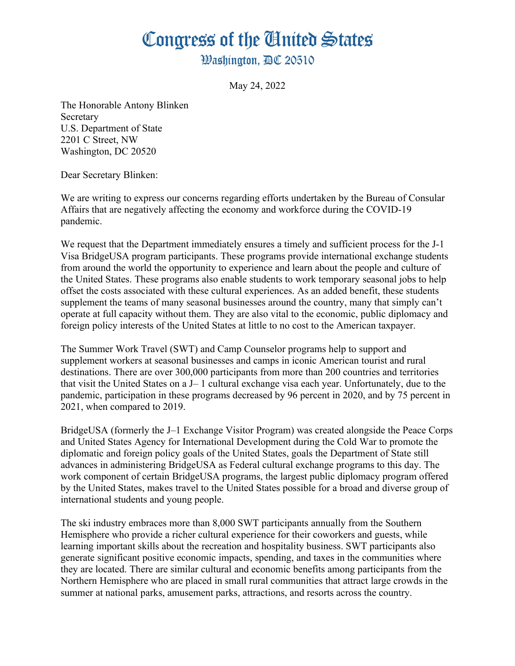## Congress of the Ginited States

**Washington. AC 20510** 

May 24, 2022

The Honorable Antony Blinken Secretary U.S. Department of State 2201 C Street, NW Washington, DC 20520

Dear Secretary Blinken:

We are writing to express our concerns regarding efforts undertaken by the Bureau of Consular Affairs that are negatively affecting the economy and workforce during the COVID-19 pandemic.

We request that the Department immediately ensures a timely and sufficient process for the J-1 Visa BridgeUSA program participants. These programs provide international exchange students from around the world the opportunity to experience and learn about the people and culture of the United States. These programs also enable students to work temporary seasonal jobs to help offset the costs associated with these cultural experiences. As an added benefit, these students supplement the teams of many seasonal businesses around the country, many that simply can't operate at full capacity without them. They are also vital to the economic, public diplomacy and foreign policy interests of the United States at little to no cost to the American taxpayer.

The Summer Work Travel (SWT) and Camp Counselor programs help to support and supplement workers at seasonal businesses and camps in iconic American tourist and rural destinations. There are over 300,000 participants from more than 200 countries and territories that visit the United States on a J– 1 cultural exchange visa each year. Unfortunately, due to the pandemic, participation in these programs decreased by 96 percent in 2020, and by 75 percent in 2021, when compared to 2019.

BridgeUSA (formerly the J–1 Exchange Visitor Program) was created alongside the Peace Corps and United States Agency for International Development during the Cold War to promote the diplomatic and foreign policy goals of the United States, goals the Department of State still advances in administering BridgeUSA as Federal cultural exchange programs to this day. The work component of certain BridgeUSA programs, the largest public diplomacy program offered by the United States, makes travel to the United States possible for a broad and diverse group of international students and young people.

The ski industry embraces more than 8,000 SWT participants annually from the Southern Hemisphere who provide a richer cultural experience for their coworkers and guests, while learning important skills about the recreation and hospitality business. SWT participants also generate significant positive economic impacts, spending, and taxes in the communities where they are located. There are similar cultural and economic benefits among participants from the Northern Hemisphere who are placed in small rural communities that attract large crowds in the summer at national parks, amusement parks, attractions, and resorts across the country.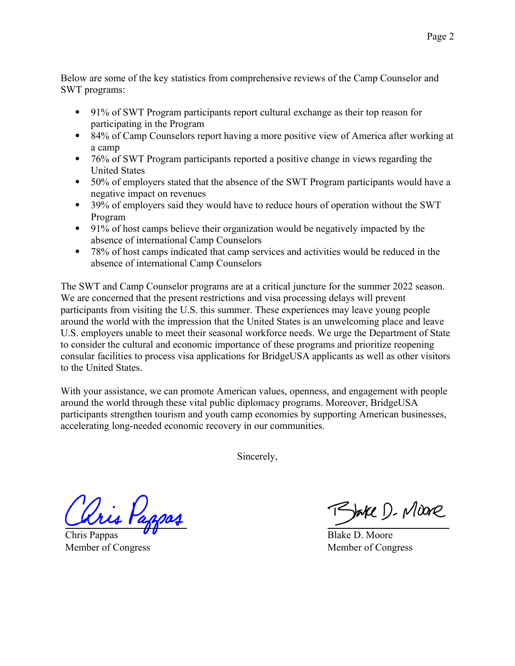Below are some of the key statistics from comprehensive reviews of the Camp Counselor and SWT programs:

- 91% of SWT Program participants report cultural exchange as their top reason for participating in the Program
- 84% of Camp Counselors report having a more positive view of America after working at a camp
- 76% of SWT Program participants reported a positive change in views regarding the United States
- 50% of employers stated that the absence of the SWT Program participants would have a negative impact on revenues
- 39% of employers said they would have to reduce hours of operation without the SWT Program
- 91% of host camps believe their organization would be negatively impacted by the absence of international Camp Counselors
- 78% of host camps indicated that camp services and activities would be reduced in the absence of international Camp Counselors

The SWT and Camp Counselor programs are at a critical juncture for the summer 2022 season. We are concerned that the present restrictions and visa processing delays will prevent participants from visiting the U.S. this summer. These experiences may leave young people around the world with the impression that the United States is an unwelcoming place and leave U.S. employers unable to meet their seasonal workforce needs. We urge the Department of State to consider the cultural and economic importance of these programs and prioritize reopening consular facilities to process visa applications for BridgeUSA applicants as well as other visitors to the United States.

With your assistance, we can promote American values, openness, and engagement with people around the world through these vital public diplomacy programs. Moreover, BridgeUSA participants strengthen tourism and youth camp economies by supporting American businesses, accelerating long-needed economic recovery in our communities.

Sincerely,

Tris Pappos

Chris Pappas Member of Congress

RJake D. Mione

Blake D. Moore Member of Congress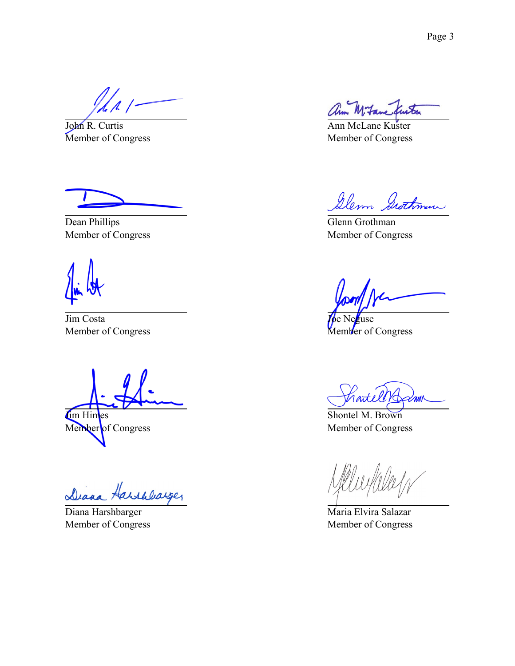John R. Curtis Member of Congress

Dean Phillips Member of Congress

Jim Costa Member of Congress

Im Himes Member of Congress

Diana Harshbarger

Diana Harshbarger Member of Congress

Ann McLane Kuster Member of Congress

Glenn Swithman

Glenn Grothman Member of Congress

zuse Member of Congress

rate mm

Shontel M. Brown Member of Congress

Maria Elvira Salazar Member of Congress